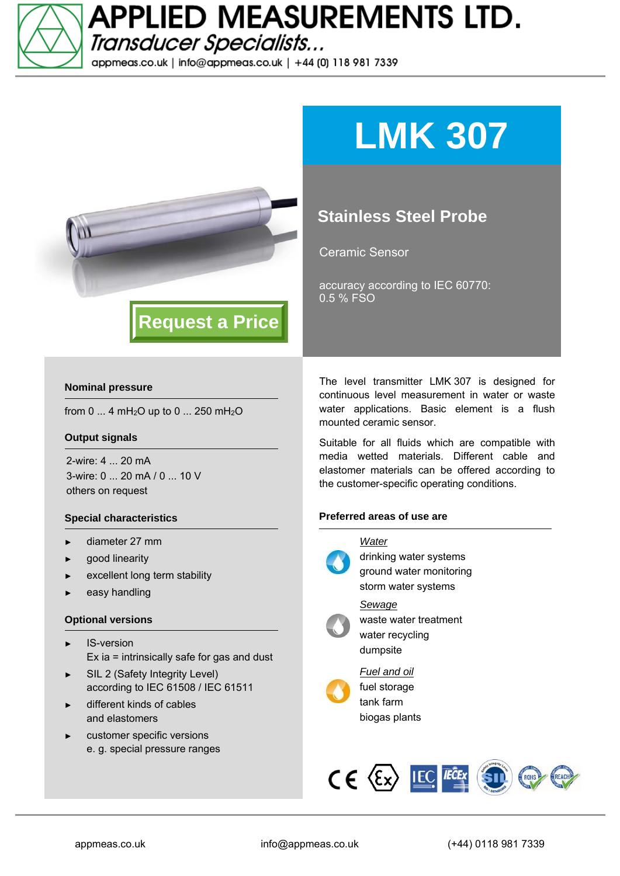

**APPLIED MEASUREMENTS LTD.** Transducer Specialists...

appmeas.co.uk | info@appmeas.co.uk | +44 (0) 118 981 7339



# **LMK 307**

### **Stainless Steel Probe**

Ceramic Sensor

accuracy according to IEC 60770: 0.5 % FSO

#### **Nominal pressure**

from 0 ... 4 mH<sub>2</sub>O up to 0 ... 250 mH<sub>2</sub>O

#### **Output signals**

2-wire: 4 ... 20 mA 3-wire: 0 ... 20 mA / 0 ... 10 V others on request

#### **Special characteristics**

- diameter 27 mm
- good linearity
- excellent long term stability
- easy handling

#### **Optional versions**

- IS-version Ex ia = intrinsically safe for gas and dust
- SIL 2 (Safety Integrity Level) according to IEC 61508 / IEC 61511
- different kinds of cables and elastomers
- customer specific versions e. g. special pressure ranges

The level transmitter LMK 307 is designed for continuous level measurement in water or waste water applications. Basic element is a flush mounted ceramic sensor.

Suitable for all fluids which are compatible with media wetted materials. Different cable and elastomer materials can be offered according to the customer-specific operating conditions.

#### **Preferred areas of use are**



drinking water systems ground water monitoring storm water systems *Sewage*  waste water treatment water recycling



*Fuel and oil*  fuel storage tank farm

biogas plants

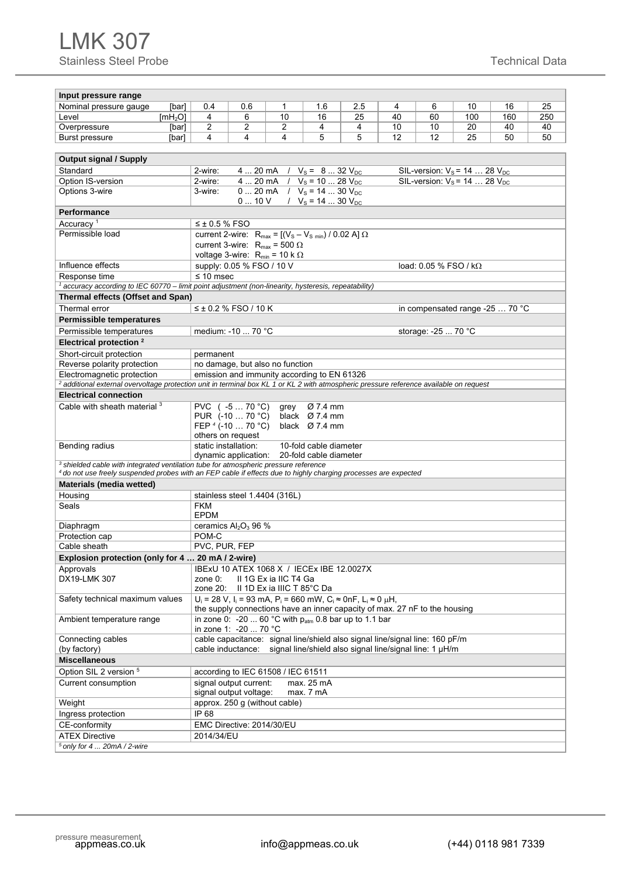| Input pressure range                                                                                                                               |                                                                                                                                                |                                                            |                                                                 |                        |     |    |                       |                                      |                                 |     |  |  |  |
|----------------------------------------------------------------------------------------------------------------------------------------------------|------------------------------------------------------------------------------------------------------------------------------------------------|------------------------------------------------------------|-----------------------------------------------------------------|------------------------|-----|----|-----------------------|--------------------------------------|---------------------------------|-----|--|--|--|
| Nominal pressure gauge<br>[bar]                                                                                                                    | 0.4                                                                                                                                            | 0.6                                                        | 1                                                               | 1.6                    | 2.5 | 4  | 6                     | 10                                   | 16                              | 25  |  |  |  |
| Level<br>[mH <sub>2</sub> O]                                                                                                                       | 4                                                                                                                                              | 6                                                          | 10                                                              | 16                     | 25  | 40 | 60                    | 100                                  | 160                             | 250 |  |  |  |
| Overpressure<br>[bar]                                                                                                                              | 2                                                                                                                                              | 2                                                          | 2                                                               | 4                      | 4   | 10 | 10                    | 20                                   | 40                              | 40  |  |  |  |
| Burst pressure<br>[bar]                                                                                                                            | 4                                                                                                                                              | 4                                                          | 4                                                               | 5                      | 5   | 12 | 50                    |                                      |                                 |     |  |  |  |
|                                                                                                                                                    |                                                                                                                                                |                                                            |                                                                 |                        |     |    |                       |                                      |                                 |     |  |  |  |
| <b>Output signal / Supply</b>                                                                                                                      | 4  20 mA / $V_s = 8$ 32 $V_{DC}$                                                                                                               |                                                            |                                                                 |                        |     |    |                       |                                      |                                 |     |  |  |  |
| Standard                                                                                                                                           | 2-wire:                                                                                                                                        |                                                            |                                                                 |                        |     |    |                       | SIL-version: $V_s$ = 14  28 $V_{DC}$ |                                 |     |  |  |  |
| Option IS-version                                                                                                                                  | 2-wire:                                                                                                                                        |                                                            | 4  20 mA $/$ $V_s$ = 10  28 $V_{DC}$                            |                        |     |    |                       | SIL-version: $V_s$ = 14  28 $V_{DC}$ |                                 |     |  |  |  |
| Options 3-wire                                                                                                                                     |                                                                                                                                                | 0  20 mA $/$ $V_s$ = 14  30 $V_{DC}$<br>3-wire:            |                                                                 |                        |     |    |                       |                                      |                                 |     |  |  |  |
|                                                                                                                                                    | $0 \dots 10$ V<br>/ $V_s = 14$ 30 $V_{DC}$                                                                                                     |                                                            |                                                                 |                        |     |    |                       |                                      |                                 |     |  |  |  |
| Performance                                                                                                                                        | $\leq \pm 0.5$ % FSO                                                                                                                           |                                                            |                                                                 |                        |     |    |                       |                                      |                                 |     |  |  |  |
| Accuracy <sup>1</sup><br>Permissible load                                                                                                          |                                                                                                                                                |                                                            |                                                                 |                        |     |    |                       |                                      |                                 |     |  |  |  |
|                                                                                                                                                    |                                                                                                                                                |                                                            | current 2-wire: $R_{max} = [(V_s - V_{s min}) / 0.02 A] \Omega$ |                        |     |    |                       |                                      |                                 |     |  |  |  |
|                                                                                                                                                    |                                                                                                                                                |                                                            | current 3-wire: $R_{max}$ = 500 $\Omega$                        |                        |     |    |                       |                                      |                                 |     |  |  |  |
| Influence effects                                                                                                                                  |                                                                                                                                                | supply: 0.05 % FSO / 10 V                                  | voltage 3-wire: $R_{min} = 10 k \Omega$                         |                        |     |    | load: 0.05 % FSO / kΩ |                                      |                                 |     |  |  |  |
| Response time                                                                                                                                      | $\leq 10$ msec                                                                                                                                 |                                                            |                                                                 |                        |     |    |                       |                                      |                                 |     |  |  |  |
| <sup>1</sup> accuracy according to IEC 60770 - limit point adjustment (non-linearity, hysteresis, repeatability)                                   |                                                                                                                                                |                                                            |                                                                 |                        |     |    |                       |                                      |                                 |     |  |  |  |
| Thermal effects (Offset and Span)                                                                                                                  |                                                                                                                                                |                                                            |                                                                 |                        |     |    |                       |                                      |                                 |     |  |  |  |
| Thermal error                                                                                                                                      |                                                                                                                                                | $≤$ ± 0.2 % FSO / 10 K                                     |                                                                 |                        |     |    |                       |                                      | in compensated range -25  70 °C |     |  |  |  |
| <b>Permissible temperatures</b>                                                                                                                    |                                                                                                                                                |                                                            |                                                                 |                        |     |    |                       |                                      |                                 |     |  |  |  |
| Permissible temperatures                                                                                                                           |                                                                                                                                                | medium: -10  70 °C                                         |                                                                 |                        |     |    | storage: -25  70 °C   |                                      |                                 |     |  |  |  |
| Electrical protection <sup>2</sup>                                                                                                                 |                                                                                                                                                |                                                            |                                                                 |                        |     |    |                       |                                      |                                 |     |  |  |  |
| Short-circuit protection                                                                                                                           |                                                                                                                                                |                                                            |                                                                 |                        |     |    |                       |                                      |                                 |     |  |  |  |
| permanent<br>Reverse polarity protection<br>no damage, but also no function                                                                        |                                                                                                                                                |                                                            |                                                                 |                        |     |    |                       |                                      |                                 |     |  |  |  |
| Electromagnetic protection                                                                                                                         |                                                                                                                                                |                                                            | emission and immunity according to EN 61326                     |                        |     |    |                       |                                      |                                 |     |  |  |  |
| <sup>2</sup> additional external overvoltage protection unit in terminal box KL 1 or KL 2 with atmospheric pressure reference available on request |                                                                                                                                                |                                                            |                                                                 |                        |     |    |                       |                                      |                                 |     |  |  |  |
| <b>Electrical connection</b>                                                                                                                       |                                                                                                                                                |                                                            |                                                                 |                        |     |    |                       |                                      |                                 |     |  |  |  |
| Cable with sheath material 3                                                                                                                       |                                                                                                                                                | PVC (-5 70 °C)                                             | grey                                                            | Ø 7.4 mm               |     |    |                       |                                      |                                 |     |  |  |  |
|                                                                                                                                                    | PUR (-10  70 °C)<br>black $\varnothing$ 7.4 mm                                                                                                 |                                                            |                                                                 |                        |     |    |                       |                                      |                                 |     |  |  |  |
|                                                                                                                                                    |                                                                                                                                                | FEP $4$ (-10 $\ldots$ 70 °C)<br>black $\varnothing$ 7.4 mm |                                                                 |                        |     |    |                       |                                      |                                 |     |  |  |  |
|                                                                                                                                                    | others on request                                                                                                                              |                                                            |                                                                 |                        |     |    |                       |                                      |                                 |     |  |  |  |
| Bending radius                                                                                                                                     | static installation:                                                                                                                           |                                                            |                                                                 | 10-fold cable diameter |     |    |                       |                                      |                                 |     |  |  |  |
| <sup>3</sup> shielded cable with integrated ventilation tube for atmospheric pressure reference                                                    |                                                                                                                                                | dynamic application:                                       |                                                                 | 20-fold cable diameter |     |    |                       |                                      |                                 |     |  |  |  |
| 4 do not use freely suspended probes with an FEP cable if effects due to highly charging processes are expected                                    |                                                                                                                                                |                                                            |                                                                 |                        |     |    |                       |                                      |                                 |     |  |  |  |
| <b>Materials (media wetted)</b>                                                                                                                    |                                                                                                                                                |                                                            |                                                                 |                        |     |    |                       |                                      |                                 |     |  |  |  |
| Housing                                                                                                                                            |                                                                                                                                                |                                                            | stainless steel 1.4404 (316L)                                   |                        |     |    |                       |                                      |                                 |     |  |  |  |
| Seals                                                                                                                                              | <b>FKM</b>                                                                                                                                     |                                                            |                                                                 |                        |     |    |                       |                                      |                                 |     |  |  |  |
|                                                                                                                                                    | <b>EPDM</b>                                                                                                                                    |                                                            |                                                                 |                        |     |    |                       |                                      |                                 |     |  |  |  |
| Diaphragm                                                                                                                                          |                                                                                                                                                | ceramics $Al_2O_3$ 96 %                                    |                                                                 |                        |     |    |                       |                                      |                                 |     |  |  |  |
| Protection cap                                                                                                                                     |                                                                                                                                                | POM-C                                                      |                                                                 |                        |     |    |                       |                                      |                                 |     |  |  |  |
| Cable sheath                                                                                                                                       | PVC, PUR, FEP                                                                                                                                  |                                                            |                                                                 |                        |     |    |                       |                                      |                                 |     |  |  |  |
| Explosion protection (only for 4  20 mA / 2-wire)                                                                                                  |                                                                                                                                                |                                                            |                                                                 |                        |     |    |                       |                                      |                                 |     |  |  |  |
| Approvals                                                                                                                                          |                                                                                                                                                |                                                            | IBExU 10 ATEX 1068 X / IECEX IBE 12.0027X                       |                        |     |    |                       |                                      |                                 |     |  |  |  |
| DX19-LMK 307                                                                                                                                       | zone $0$ :                                                                                                                                     |                                                            | II 1G Ex ia IIC T4 Ga                                           |                        |     |    |                       |                                      |                                 |     |  |  |  |
|                                                                                                                                                    | zone 20:                                                                                                                                       |                                                            | II 1D Ex ia IIIC T 85°C Da                                      |                        |     |    |                       |                                      |                                 |     |  |  |  |
|                                                                                                                                                    | $U_i$ = 28 V, I <sub>i</sub> = 93 mA, P <sub>i</sub> = 660 mW, C <sub>i</sub> ≈ 0nF, L <sub>i</sub> ≈ 0 μH,<br>Safety technical maximum values |                                                            |                                                                 |                        |     |    |                       |                                      |                                 |     |  |  |  |
| Ambient temperature range                                                                                                                          | the supply connections have an inner capacity of max. 27 nF to the housing<br>in zone 0: -20  60 °C with $p_{atm}$ 0.8 bar up to 1.1 bar       |                                                            |                                                                 |                        |     |    |                       |                                      |                                 |     |  |  |  |
| in zone 1: -20  70 °C                                                                                                                              |                                                                                                                                                |                                                            |                                                                 |                        |     |    |                       |                                      |                                 |     |  |  |  |
| cable capacitance: signal line/shield also signal line/signal line: 160 pF/m<br>Connecting cables                                                  |                                                                                                                                                |                                                            |                                                                 |                        |     |    |                       |                                      |                                 |     |  |  |  |
| signal line/shield also signal line/signal line: 1 µH/m<br>(by factory)<br>cable inductance:                                                       |                                                                                                                                                |                                                            |                                                                 |                        |     |    |                       |                                      |                                 |     |  |  |  |
| <b>Miscellaneous</b>                                                                                                                               |                                                                                                                                                |                                                            |                                                                 |                        |     |    |                       |                                      |                                 |     |  |  |  |
| Option SIL 2 version 5                                                                                                                             | according to IEC 61508 / IEC 61511                                                                                                             |                                                            |                                                                 |                        |     |    |                       |                                      |                                 |     |  |  |  |
| Current consumption                                                                                                                                | signal output current:<br>max. 25 mA                                                                                                           |                                                            |                                                                 |                        |     |    |                       |                                      |                                 |     |  |  |  |
|                                                                                                                                                    | signal output voltage:<br>max. 7 mA                                                                                                            |                                                            |                                                                 |                        |     |    |                       |                                      |                                 |     |  |  |  |
| Weight                                                                                                                                             | approx. 250 g (without cable)                                                                                                                  |                                                            |                                                                 |                        |     |    |                       |                                      |                                 |     |  |  |  |
| Ingress protection                                                                                                                                 | IP 68                                                                                                                                          |                                                            |                                                                 |                        |     |    |                       |                                      |                                 |     |  |  |  |
| CE-conformity                                                                                                                                      |                                                                                                                                                | EMC Directive: 2014/30/EU                                  |                                                                 |                        |     |    |                       |                                      |                                 |     |  |  |  |
| <b>ATEX Directive</b>                                                                                                                              | 2014/34/EU                                                                                                                                     |                                                            |                                                                 |                        |     |    |                       |                                      |                                 |     |  |  |  |
| $5$ only for 4 $\dots$ 20mA / 2-wire                                                                                                               |                                                                                                                                                |                                                            |                                                                 |                        |     |    |                       |                                      |                                 |     |  |  |  |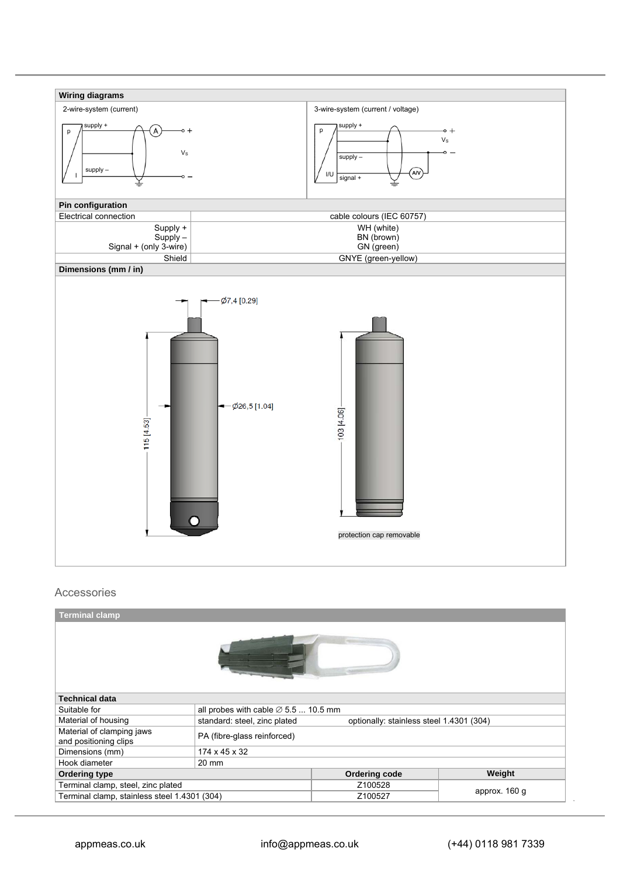

#### Accessories

| <b>Terminal clamp</b>                                   |                                                                          |               |               |  |  |  |  |  |  |  |  |
|---------------------------------------------------------|--------------------------------------------------------------------------|---------------|---------------|--|--|--|--|--|--|--|--|
|                                                         |                                                                          |               |               |  |  |  |  |  |  |  |  |
| <b>Technical data</b>                                   |                                                                          |               |               |  |  |  |  |  |  |  |  |
| Suitable for                                            | all probes with cable $\varnothing$ 5.5  10.5 mm                         |               |               |  |  |  |  |  |  |  |  |
| Material of housing                                     | standard: steel, zinc plated<br>optionally: stainless steel 1.4301 (304) |               |               |  |  |  |  |  |  |  |  |
| Material of clamping jaws<br>and positioning clips      | PA (fibre-glass reinforced)                                              |               |               |  |  |  |  |  |  |  |  |
| Dimensions (mm)                                         | 174 x 45 x 32                                                            |               |               |  |  |  |  |  |  |  |  |
| Hook diameter                                           | 20 mm                                                                    |               |               |  |  |  |  |  |  |  |  |
| <b>Ordering type</b>                                    |                                                                          | Ordering code | Weight        |  |  |  |  |  |  |  |  |
| Terminal clamp, steel, zinc plated                      |                                                                          | Z100528       | approx. 160 g |  |  |  |  |  |  |  |  |
| Terminal clamp, stainless steel 1.4301 (304)<br>Z100527 |                                                                          |               |               |  |  |  |  |  |  |  |  |

*.*